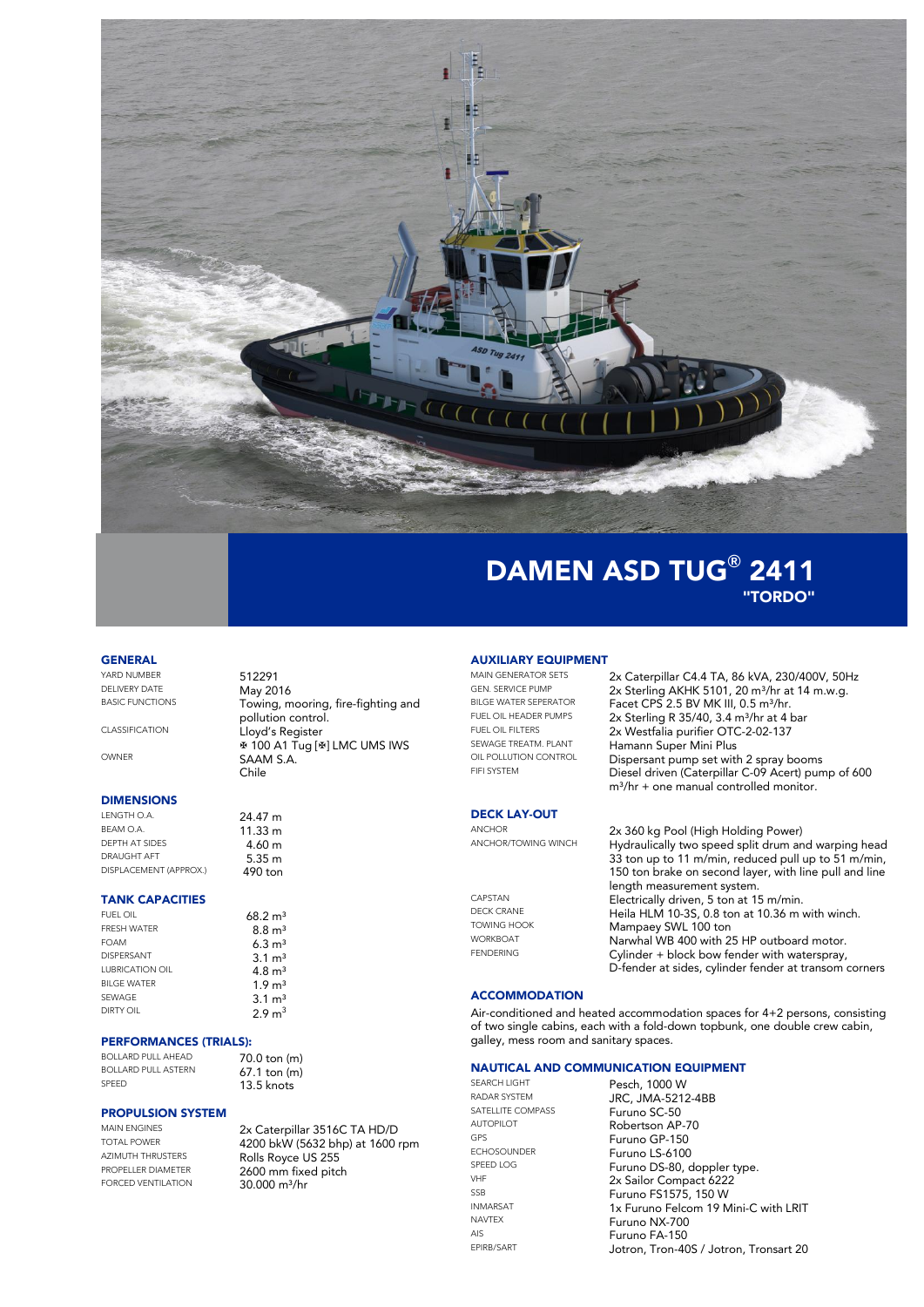

# DAMEN ASD TUG**®** 2411 "TORDO"

#### **GENERAL**

YARD NUMBER<br>DELIVERY DATE May 20 DELIVERY DATE May 2016

### **DIMENSIONS**<br>LENGTH O.A.

LENGTH O.A.  $24.47 \text{ m}$ <br>BEAM O.A.  $41.33 \text{ m}$ DEPTH AT SIDES<br>DRAUGHT AFT DISPLACEMENT (APPROX.)

# **TANK CAPACITIES**

FRESH WATER 8.8 m<sup>3</sup> FOAM DISPERSANT  $LIPRICATION OII$ BILGE WATER SEWAGE DIRTY OIL

#### PERFORMANCES (TRIALS):

BOLLARD PULL AHEAD 70.0 ton (m) BOLLARD PULL ASTERN 67.1 ton (m)

# **PROPULSION SYSTEM**<br>MAIN ENGINES

AZIMUTH THRUSTERS<br> **ROPELLER DIAMETER**<br>
2400 mm fixed nite

### Towing, mooring, fire-fighting and pollution control. CLASSIFICATION Lloyd's Register  $\text{ }$  **# 100 A1 Tug [ # ] LMC UMS IWS** OWNER SAAM S.A. Chile

 $11.33 m$ <br> $4.60 m$  $5.35$  m<br>490 ton

 $68.2 m<sup>3</sup>$ 

 $13.5$  knots

MAIN ENGINES<br>TOTAL POWER<br>  $\frac{2x \text{ Caterpillar } 3516 \text{ C TA HD/D}}{4200 \text{ hLM } (5432 \text{ hbn}) \text{ at } 1400 \text{ K}}$ TOTAL POWER<br>AZIMUTH THRUSTERS<br>Rolls Royce US 255 PROPELLER DIAMETER 2600 mm fixed pitch  $30.000$  m $\frac{3}{hr}$ 

# **AUXILIARY EQUIPMENT**<br>MAIN GENERATOR SETS

### **DECK LAY-OUT**

MAIN GENERATOR SETS 2x Caterpillar C4.4 TA, 86 kVA, 230/400V, 50Hz<br>GEN. SERVICE PUMP 2x Sterling AKHK 5101 20 m<sup>3</sup>/hr at 14 m w g GEN. SERVICE PUMP 2x Sterling AKHK 5101, 20 m<sup>3</sup>/hr at 14 m.w.g.<br>BILGE WATER SEPERATOR Facet CPS 2.5 BV MK III 0.5 m<sup>3</sup>/hr. BILGE WATER SEPERATOR Facet CPS 2.5 BV MK III, 0.5 m<sup>3</sup>/hr.<br>FUEL OIL HEADER PUMPS 2x Sterling R 35/40 3.4 m<sup>3/</sup>hr at 4. FUEL OIL HEADER PUMPS  $2x$  Sterling R 35/40, 3.4 m<sup>3</sup>/hr at 4 bar<br>FUEL OIL FUTERS  $2x$  Montfolio musifies OTC 2.02.127 FUEL OIL FILTERS<br>SEWAGE TREATM PLANT<br>Homonn Sungs Mini Plug SEWAGE TREATM. PLANT Hamann Super Mini Plus<br>OIL POLLUTION CONTROL Disposes to pump act with OIL POLLUTION CONTROL Dispersant pump set with 2 spray booms<br>FIFLSYSTEM Discol driven (Caternillar C 08 Acert) pum Diesel driven (Caterpillar C-09 Acert) pump of 600  $m^3$ /hr + one manual controlled monitor.

#### ANCHOR 2x 360 kg Pool (High Holding Power)<br>ANCHOR/TOWING WINCH Hudraulically two speed split drum and Hydraulically two speed split drum and warping head 33 ton up to 11 m/min, reduced pull up to 51 m/min, 150 ton brake on second layer, with line pull and line length measurement system. CAPSTAN Electrically driven, 5 ton at 15 m/min.<br>Electrically driven, 5 ton at 15 m/min.<br>Heila HI M 10.3S 0.8 ton at 10.36 m DECK CRANE Heila HLM 10-3S, 0.8 ton at 10.36 m with winch.<br>TOWING HOOK Mampaey SWL 100 ton TOWING HOOK Mampaey SWL 100 ton<br>WORKBOAT Mamphal WB 400 with 2

WORKBOAT **Narwhal WB 400 with 25 HP outboard motor.**<br>Collission is black how for density webserves  $Cylinder + block$  bow fender with waterspray, D-fender at sides, cylinder fender at transom corners

#### **ACCOMMODATION**

Air-conditioned and heated accommodation spaces for 4+2 persons, consisting of two single cabins, each with a fold-down topbunk, one double crew cabin, galley, mess room and sanitary spaces.

### **NAUTICAL AND COMMUNICATION EQUIPMENT**<br>SEARCH UGHT **Rocch 1000 W**

SATELLITE COMPASS<br>AUTOPILOT

SEARCH LIGHT<br>
Pesch, 1000 W<br>
Percent Percent Pesch, 1000 W JRC, JMA-5212-4BB<br>Furuno SC-50 AUTOPILOT<br>
GPS
BRACHER EUTURO GB 150 GPS<br>ECHOSOUNDER Furuno I S-6100 ECHOSOUNDER Furuno LS-6100<br>
SPEED LOG Furuno DS 80 G SPEED LOG Furuno DS-80, doppler type.<br>
2y Sailar Compact 4222 VHF 2x Sailor Compact 6222 SSB Furuno FS1575, 150 W INMARSAT 1x Furuno Felcom 19 Mini-C with LRIT<br>
NAVTEX FURUNO NX-700 NAVTEX Furuno NX-700<br>AIS Furuno FA-150 AIS **Furuno FA-150**<br>EPIRB/SART **FRIEF LOTTON TEOR-40** Jotron, Tron-40S / Jotron, Tronsart 20